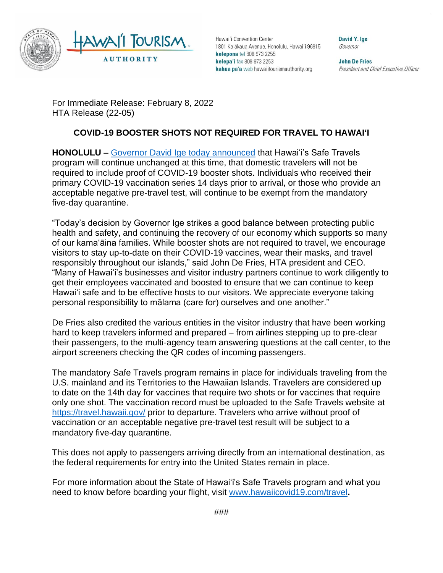

Hawai'i Convention Center 1801 Kalākaua Avenue, Honolulu, Hawai'i 96815 kelepona tel 808 973 2255 kelepa'i fax 808 973 2253 kahua pa'a web hawaiitourismauthority.org

David Y. lue Governor

**John De Fries** President and Chief Executive Officer

For Immediate Release: February 8, 2022 HTA Release (22-05)

## **COVID-19 BOOSTER SHOTS NOT REQUIRED FOR TRAVEL TO HAWAIʻI**

**HONOLULU –** Governor [David Ige today announced](https://governor.hawaii.gov/newsroom/office-of-the-governor-news-release-booster-shots-will-not-be-added-to-safe-travels-hawai%ca%bbi-requirements/) that Hawaiʻi's Safe Travels program will continue unchanged at this time, that domestic travelers will not be required to include proof of COVID-19 booster shots. Individuals who received their primary COVID-19 vaccination series 14 days prior to arrival, or those who provide an acceptable negative pre-travel test, will continue to be exempt from the mandatory five-day quarantine.

"Today's decision by Governor Ige strikes a good balance between protecting public health and safety, and continuing the recovery of our economy which supports so many of our kamaʻāina families. While booster shots are not required to travel, we encourage visitors to stay up-to-date on their COVID-19 vaccines, wear their masks, and travel responsibly throughout our islands," said John De Fries, HTA president and CEO. "Many of Hawai'i's businesses and visitor industry partners continue to work diligently to get their employees vaccinated and boosted to ensure that we can continue to keep Hawai'i safe and to be effective hosts to our visitors. We appreciate everyone taking personal responsibility to mālama (care for) ourselves and one another."

De Fries also credited the various entities in the visitor industry that have been working hard to keep travelers informed and prepared – from airlines stepping up to pre-clear their passengers, to the multi-agency team answering questions at the call center, to the airport screeners checking the QR codes of incoming passengers.

The mandatory Safe Travels program remains in place for individuals traveling from the U.S. mainland and its Territories to the Hawaiian Islands. Travelers are considered up to date on the 14th day for vaccines that require two shots or for vaccines that require only one shot. The vaccination record must be uploaded to the Safe Travels website at <https://travel.hawaii.gov/> prior to departure. Travelers who arrive without proof of vaccination or an acceptable negative pre-travel test result will be subject to a mandatory five-day quarantine.

This does not apply to passengers arriving directly from an international destination, as the federal requirements for entry into the United States remain in place.

For more information about the State of Hawai'i's Safe Travels program and what you need to know before boarding your flight, visit [www.hawaiicovid19.com/travel](http://www.hawaiicovid19.com/travel)**.**